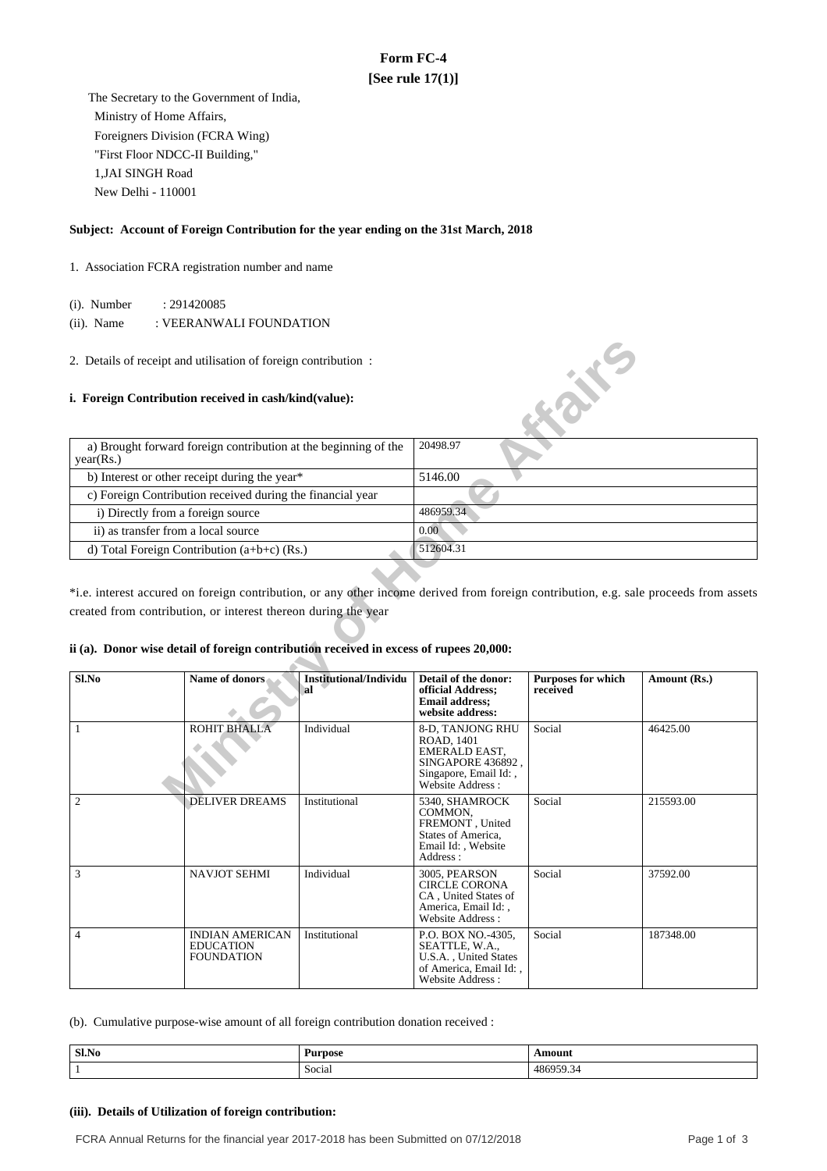# **Form FC-4 [See rule 17(1)]**

 The Secretary to the Government of India, Ministry of Home Affairs, Foreigners Division (FCRA Wing) "First Floor NDCC-II Building," 1,JAI SINGH Road New Delhi - 110001

## **Subject: Account of Foreign Contribution for the year ending on the 31st March, 2018**

## 1. Association FCRA registration number and name

(i). Number : 291420085

(ii). Name : VEERANWALI FOUNDATION

## **i. Foreign Contribution received in cash/kind(value):**

| a) Brought forward foreign contribution at the beginning of the<br>year(Rs.) | 20498.97  |
|------------------------------------------------------------------------------|-----------|
| b) Interest or other receipt during the year*                                | 5146.00   |
| c) Foreign Contribution received during the financial year                   |           |
| i) Directly from a foreign source                                            | 486959.34 |
| ii) as transfer from a local source                                          | 0.00      |
| d) Total Foreign Contribution $(a+b+c)$ (Rs.)                                | 512604.31 |

## **ii (a). Donor wise detail of foreign contribution received in excess of rupees 20,000:**

|                                                            | 2. Details of receipt and utilisation of foreign contribution :<br>i. Foreign Contribution received in cash/kind(value):                                                                   |                                                   |                                                                                                                                                                                                                     | <b>Kaik</b>                              |                                                                                                                                                                   |  |
|------------------------------------------------------------|--------------------------------------------------------------------------------------------------------------------------------------------------------------------------------------------|---------------------------------------------------|---------------------------------------------------------------------------------------------------------------------------------------------------------------------------------------------------------------------|------------------------------------------|-------------------------------------------------------------------------------------------------------------------------------------------------------------------|--|
| year(Rs.)                                                  | a) Brought forward foreign contribution at the beginning of the                                                                                                                            |                                                   | 20498.97                                                                                                                                                                                                            |                                          |                                                                                                                                                                   |  |
| b) Interest or other receipt during the year*              |                                                                                                                                                                                            | 5146.00                                           |                                                                                                                                                                                                                     |                                          |                                                                                                                                                                   |  |
| c) Foreign Contribution received during the financial year |                                                                                                                                                                                            |                                                   |                                                                                                                                                                                                                     |                                          |                                                                                                                                                                   |  |
|                                                            | i) Directly from a foreign source                                                                                                                                                          |                                                   | 486959.34                                                                                                                                                                                                           |                                          |                                                                                                                                                                   |  |
| ii) as transfer from a local source                        |                                                                                                                                                                                            |                                                   | 0.00                                                                                                                                                                                                                |                                          |                                                                                                                                                                   |  |
|                                                            | d) Total Foreign Contribution (a+b+c) (Rs.)                                                                                                                                                |                                                   | 512604.31                                                                                                                                                                                                           |                                          |                                                                                                                                                                   |  |
| Sl.No<br>1                                                 | created from contribution, or interest thereon during the year<br>ii (a). Donor wise detail of foreign contribution received in excess of rupees 20,000:<br>Name of donors<br>ROHIT BHALLA | <b>Institutional/Individu</b><br>al<br>Individual | Detail of the donor:<br>official Address;<br><b>Email address:</b><br>website address:<br>8-D, TANJONG RHU<br>ROAD, 1401<br><b>EMERALD EAST.</b><br>SINGAPORE 436892.<br>Singapore, Email Id:,<br>Website Address : | Purposes for which<br>received<br>Social | *i.e. interest accured on foreign contribution, or any other income derived from foreign contribution, e.g. sale proceeds from assets<br>Amount (Rs.)<br>46425.00 |  |
| $\overline{2}$                                             | <b>DELIVER DREAMS</b>                                                                                                                                                                      | Institutional                                     | 5340. SHAMROCK<br>COMMON,<br>FREMONT, United<br>States of America,<br>Email Id:, Website<br>Address:                                                                                                                | Social                                   | 215593.00                                                                                                                                                         |  |
| 3                                                          | <b>NAVJOT SEHMI</b>                                                                                                                                                                        | Individual                                        | 3005, PEARSON<br><b>CIRCLE CORONA</b><br>CA, United States of<br>America, Email Id:,<br>Website Address:                                                                                                            | Social                                   | 37592.00                                                                                                                                                          |  |
| $\overline{4}$                                             | <b>INDIAN AMERICAN</b><br><b>EDUCATION</b><br><b>FOUNDATION</b>                                                                                                                            | Institutional                                     | P.O. BOX NO.-4305,<br>SEATTLE, W.A.,<br>U.S.A., United States<br>of America, Email Id:,<br><b>Website Address:</b>                                                                                                  | Social                                   | 187348.00                                                                                                                                                         |  |

(b). Cumulative purpose-wise amount of all foreign contribution donation received :

| Sl.No | <b>Purpose</b>          | Amount        |
|-------|-------------------------|---------------|
| . .   | $\sim$ $\sim$<br>Social | 48695<br>…ירי |

#### **(iii). Details of Utilization of foreign contribution:**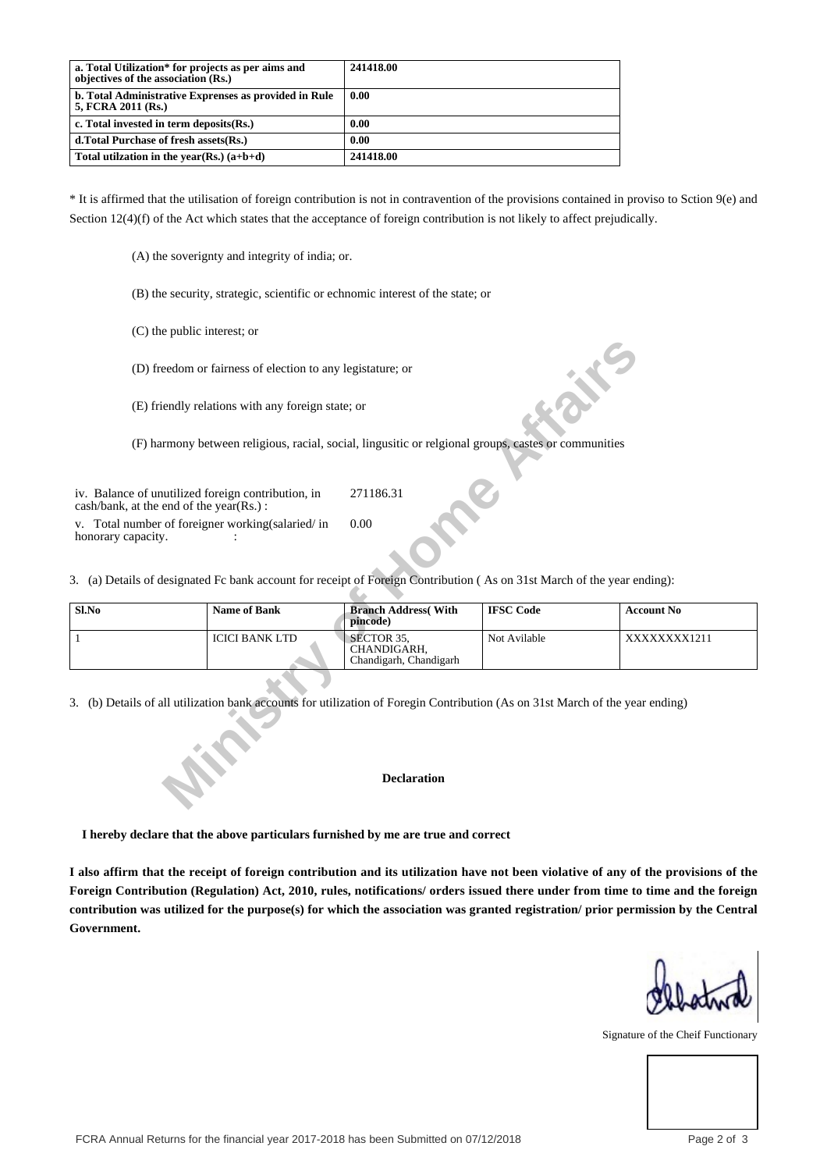| a. Total Utilization* for projects as per aims and<br>objectives of the association (Rs.) | 241418.00 |
|-------------------------------------------------------------------------------------------|-----------|
| b. Total Administrative Exprenses as provided in Rule<br>5, FCRA 2011 (Rs.)               | 0.00      |
| c. Total invested in term deposits $(Rs.)$                                                | 0.00      |
| d. Total Purchase of fresh assets (Rs.)                                                   | 0.00      |
| Total utilization in the year(Rs.) $(a+b+d)$                                              | 241418.00 |

\* It is affirmed that the utilisation of foreign contribution is not in contravention of the provisions contained in proviso to Sction 9(e) and Section 12(4)(f) of the Act which states that the acceptance of foreign contribution is not likely to affect prejudically.

- (A) the soverignty and integrity of india; or.
- (B) the security, strategic, scientific or echnomic interest of the state; or
- (C) the public interest; or
- (D) freedom or fairness of election to any legistature; or
- (E) friendly relations with any foreign state; or

|                                                                                                                         | (D) freedom or fairness of election to any legistature; or                                                                    |                                                     |                  |                   |  |
|-------------------------------------------------------------------------------------------------------------------------|-------------------------------------------------------------------------------------------------------------------------------|-----------------------------------------------------|------------------|-------------------|--|
|                                                                                                                         | (E) friendly relations with any foreign state; or                                                                             |                                                     |                  |                   |  |
|                                                                                                                         | (F) harmony between religious, racial, social, lingusitic or relgional groups, castes or communities                          |                                                     |                  |                   |  |
|                                                                                                                         | iv. Balance of unutilized foreign contribution, in<br>cash/bank, at the end of the year(Rs.):                                 | 271186.31                                           |                  |                   |  |
| honorary capacity.                                                                                                      | v. Total number of foreigner working(salaried/in                                                                              | 0.00                                                |                  |                   |  |
| 3. (a) Details of designated Fc bank account for receipt of Foreign Contribution (As on 31st March of the year ending): |                                                                                                                               |                                                     |                  |                   |  |
| $Sl$ .No                                                                                                                | <b>Name of Bank</b>                                                                                                           | <b>Branch Address</b> (With<br>pincode)             | <b>IFSC Code</b> | <b>Account No</b> |  |
| 1                                                                                                                       | <b>ICICI BANK LTD</b>                                                                                                         | SECTOR 35,<br>CHANDIGARH,<br>Chandigarh, Chandigarh | Not Avilable     | XXXXXXX1211       |  |
|                                                                                                                         | 3. (b) Details of all utilization bank accounts for utilization of Foregin Contribution (As on 31st March of the year ending) |                                                     |                  |                   |  |
|                                                                                                                         |                                                                                                                               |                                                     |                  |                   |  |
|                                                                                                                         |                                                                                                                               | <b>Declaration</b>                                  |                  |                   |  |

#### **Declaration**

 **I hereby declare that the above particulars furnished by me are true and correct**

**I also affirm that the receipt of foreign contribution and its utilization have not been violative of any of the provisions of the Foreign Contribution (Regulation) Act, 2010, rules, notifications/ orders issued there under from time to time and the foreign contribution was utilized for the purpose(s) for which the association was granted registration/ prior permission by the Central Government.**

Signature of the Cheif Functionary